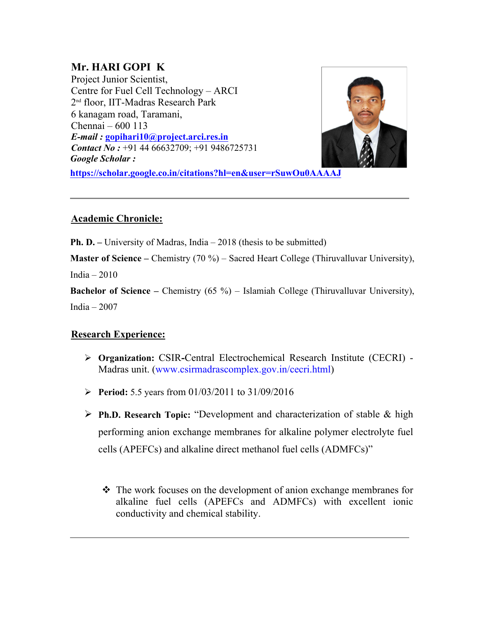# **Mr. HARI GOPI K**

Project Junior Scientist, Centre for Fuel Cell Technology – ARCI 2 nd floor, IIT-Madras Research Park 6 kanagam road, Taramani, Chennai – 600 113 *E-mail :* **gopihari10@project.arci.res.in** *Contact No :* +91 44 66632709; +91 9486725731 *Google Scholar :*



**https://scholar.google.co.in/citations?hl=en&user=rSuwOu0AAAAJ**

## **Academic Chronicle:**

**Ph. D.** – University of Madras, India – 2018 (thesis to be submitted)

**Master of Science –** Chemistry (70 %) – Sacred Heart College (Thiruvalluvar University),

India – 2010

**Bachelor of Science –** Chemistry (65 %) – Islamiah College (Thiruvalluvar University), India – 2007

# **Research Experience:**

- **Organization:** CSIR**-**Central Electrochemical Research Institute (CECRI) Madras unit. (www.csirmadrascomplex.gov.in/cecri.html)
- **Period:** 5.5 years from 01/03/2011 to 31/09/2016
- **Ph.D. Research Topic:** "Development and characterization of stable & high performing anion exchange membranes for alkaline polymer electrolyte fuel cells (APEFCs) and alkaline direct methanol fuel cells (ADMFCs)"
	- $\triangle$  The work focuses on the development of anion exchange membranes for alkaline fuel cells (APEFCs and ADMFCs) with excellent ionic conductivity and chemical stability.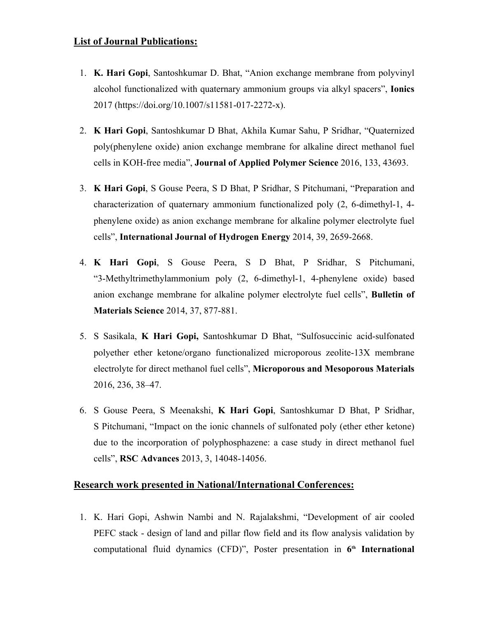### **List of Journal Publications:**

- 1. **K. Hari Gopi**, Santoshkumar D. Bhat, "Anion exchange membrane from polyvinyl alcohol functionalized with quaternary ammonium groups via alkyl spacers", **Ionics** 2017 (https://doi.org/10.1007/s11581-017-2272-x).
- 2. **K Hari Gopi**, Santoshkumar D Bhat, Akhila Kumar Sahu, P Sridhar, "Quaternized poly(phenylene oxide) anion exchange membrane for alkaline direct methanol fuel cells in KOH-free media", **Journal of Applied Polymer Science** 2016, 133, 43693.
- 3. **K Hari Gopi**, S Gouse Peera, S D Bhat, P Sridhar, S Pitchumani, "Preparation and characterization of quaternary ammonium functionalized poly (2, 6-dimethyl-1, 4 phenylene oxide) as anion exchange membrane for alkaline polymer electrolyte fuel cells", **International Journal of Hydrogen Energy** 2014, 39, 2659-2668.
- 4. **K Hari Gopi**, S Gouse Peera, S D Bhat, P Sridhar, S Pitchumani, "3-Methyltrimethylammonium poly (2, 6-dimethyl-1, 4-phenylene oxide) based anion exchange membrane for alkaline polymer electrolyte fuel cells", **Bulletin of Materials Science** 2014, 37, 877-881.
- 5. S Sasikala, **K Hari Gopi,** Santoshkumar D Bhat, "Sulfosuccinic acid-sulfonated polyether ether ketone/organo functionalized microporous zeolite-13X membrane electrolyte for direct methanol fuel cells", **Microporous and Mesoporous Materials** 2016, 236, 38–47.
- 6. S Gouse Peera, S Meenakshi, **K Hari Gopi**, Santoshkumar D Bhat, P Sridhar, S Pitchumani, "Impact on the ionic channels of sulfonated poly (ether ether ketone) due to the incorporation of polyphosphazene: a case study in direct methanol fuel cells", **RSC Advances** 2013, 3, 14048-14056.

#### **Research work presented in National/International Conferences:**

1. K. Hari Gopi, Ashwin Nambi and N. Rajalakshmi, "Development of air cooled PEFC stack - design of land and pillar flow field and its flow analysis validation by computational fluid dynamics (CFD)", Poster presentation in **6 th International**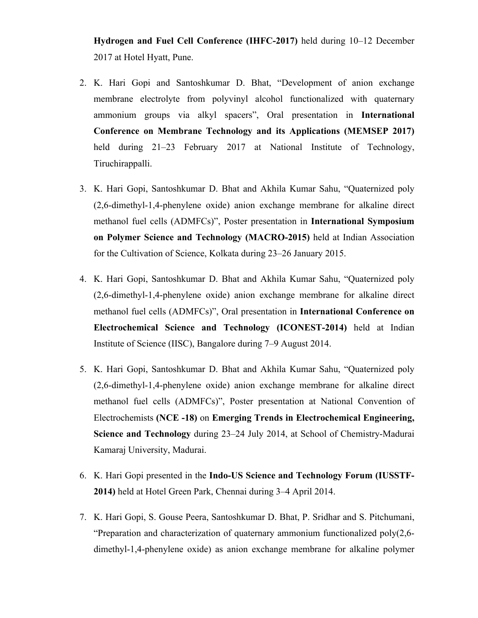**Hydrogen and Fuel Cell Conference (IHFC-2017)** held during 10–12 December 2017 at Hotel Hyatt, Pune.

- 2. K. Hari Gopi and Santoshkumar D. Bhat, "Development of anion exchange membrane electrolyte from polyvinyl alcohol functionalized with quaternary ammonium groups via alkyl spacers", Oral presentation in **International Conference on Membrane Technology and its Applications (MEMSEP 2017)** held during 21–23 February 2017 at National Institute of Technology, Tiruchirappalli.
- 3. K. Hari Gopi, Santoshkumar D. Bhat and Akhila Kumar Sahu, "Quaternized poly (2,6-dimethyl-1,4-phenylene oxide) anion exchange membrane for alkaline direct methanol fuel cells (ADMFCs)", Poster presentation in **International Symposium on Polymer Science and Technology (MACRO-2015)** held at Indian Association for the Cultivation of Science, Kolkata during 23–26 January 2015.
- 4. K. Hari Gopi, Santoshkumar D. Bhat and Akhila Kumar Sahu, "Quaternized poly (2,6-dimethyl-1,4-phenylene oxide) anion exchange membrane for alkaline direct methanol fuel cells (ADMFCs)", Oral presentation in **International Conference on Electrochemical Science and Technology (ICONEST-2014)** held at Indian Institute of Science (IISC), Bangalore during 7–9 August 2014.
- 5. K. Hari Gopi, Santoshkumar D. Bhat and Akhila Kumar Sahu, "Quaternized poly (2,6-dimethyl-1,4-phenylene oxide) anion exchange membrane for alkaline direct methanol fuel cells (ADMFCs)", Poster presentation at National Convention of Electrochemists **(NCE -18)** on **Emerging Trends in Electrochemical Engineering, Science and Technology** during 23–24 July 2014, at School of Chemistry-Madurai Kamaraj University, Madurai.
- 6. K. Hari Gopi presented in the **Indo-US Science and Technology Forum (IUSSTF-2014)** held at Hotel Green Park, Chennai during 3–4 April 2014.
- 7. K. Hari Gopi, S. Gouse Peera, Santoshkumar D. Bhat, P. Sridhar and S. Pitchumani, "Preparation and characterization of quaternary ammonium functionalized poly(2,6 dimethyl-1,4-phenylene oxide) as anion exchange membrane for alkaline polymer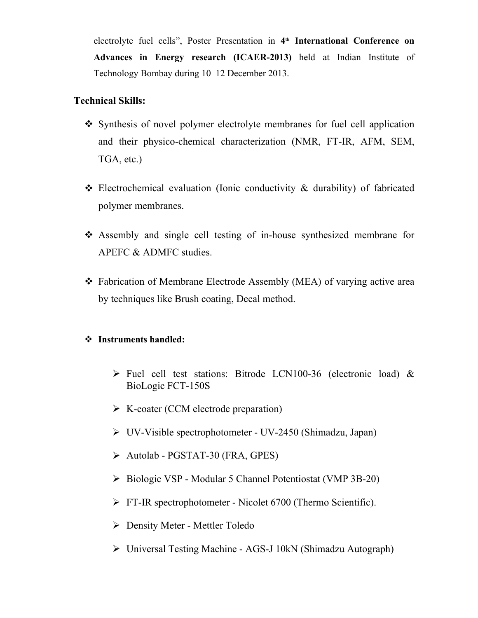electrolyte fuel cells", Poster Presentation in **4 th International Conference on Advances in Energy research (ICAER-2013)** held at Indian Institute of Technology Bombay during 10–12 December 2013.

### **Technical Skills:**

- Synthesis of novel polymer electrolyte membranes for fuel cell application and their physico-chemical characterization (NMR, FT-IR, AFM, SEM, TGA, etc.)
- $\triangle$  Electrochemical evaluation (Ionic conductivity  $\&$  durability) of fabricated polymer membranes.
- Assembly and single cell testing of in-house synthesized membrane for APEFC & ADMFC studies.
- Fabrication of Membrane Electrode Assembly (MEA) of varying active area by techniques like Brush coating, Decal method.

#### **Instruments handled:**

- $\triangleright$  Fuel cell test stations: Bitrode LCN100-36 (electronic load) & BioLogic FCT-150S
- $\triangleright$  K-coater (CCM electrode preparation)
- UV-Visible spectrophotometer UV-2450 (Shimadzu, Japan)
- Autolab PGSTAT-30 (FRA, GPES)
- Biologic VSP Modular 5 Channel Potentiostat (VMP 3B-20)
- $\triangleright$  FT-IR spectrophotometer Nicolet 6700 (Thermo Scientific).
- Density Meter Mettler Toledo
- Universal Testing Machine AGS-J 10kN (Shimadzu Autograph)